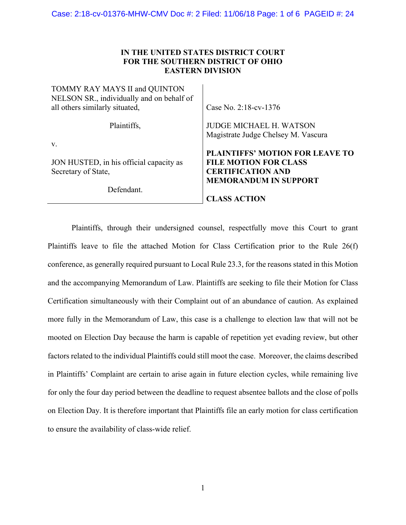# **IN THE UNITED STATES DISTRICT COURT FOR THE SOUTHERN DISTRICT OF OHIO EASTERN DIVISION**

| TOMMY RAY MAYS II and QUINTON<br>NELSON SR., individually and on behalf of<br>all others similarly situated, | Case No. 2:18-cv-1376                                                                                                              |
|--------------------------------------------------------------------------------------------------------------|------------------------------------------------------------------------------------------------------------------------------------|
| Plaintiffs,                                                                                                  | <b>JUDGE MICHAEL H. WATSON</b><br>Magistrate Judge Chelsey M. Vascura                                                              |
| V.                                                                                                           |                                                                                                                                    |
| JON HUSTED, in his official capacity as<br>Secretary of State,                                               | <b>PLAINTIFFS' MOTION FOR LEAVE TO</b><br><b>FILE MOTION FOR CLASS</b><br><b>CERTIFICATION AND</b><br><b>MEMORANDUM IN SUPPORT</b> |
| Defendant.                                                                                                   | <b>CLASS ACTION</b>                                                                                                                |

Plaintiffs, through their undersigned counsel, respectfully move this Court to grant Plaintiffs leave to file the attached Motion for Class Certification prior to the Rule 26(f) conference, as generally required pursuant to Local Rule 23.3, for the reasons stated in this Motion and the accompanying Memorandum of Law. Plaintiffs are seeking to file their Motion for Class Certification simultaneously with their Complaint out of an abundance of caution. As explained more fully in the Memorandum of Law, this case is a challenge to election law that will not be mooted on Election Day because the harm is capable of repetition yet evading review, but other factors related to the individual Plaintiffs could still moot the case. Moreover, the claims described in Plaintiffs' Complaint are certain to arise again in future election cycles, while remaining live for only the four day period between the deadline to request absentee ballots and the close of polls on Election Day. It is therefore important that Plaintiffs file an early motion for class certification to ensure the availability of class-wide relief.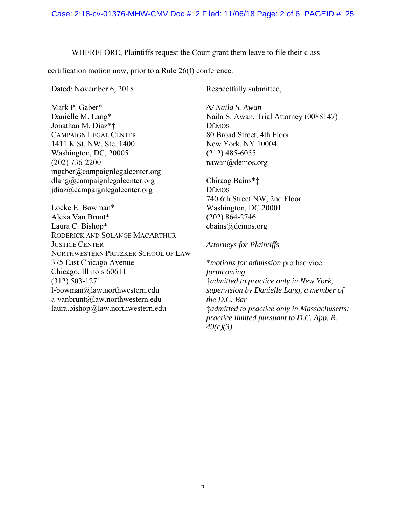WHEREFORE, Plaintiffs request the Court grant them leave to file their class

certification motion now, prior to a Rule 26(f) conference.

Dated: November 6, 2018

Mark P. Gaber\* Danielle M. Lang\* Jonathan M. Diaz\*† CAMPAIGN LEGAL CENTER 1411 K St. NW, Ste. 1400 Washington, DC, 20005 (202) 736-2200 mgaber@campaignlegalcenter.org dlang@campaignlegalcenter.org jdiaz@campaignlegalcenter.org

Locke E. Bowman\* Alexa Van Brunt\* Laura C. Bishop\* RODERICK AND SOLANGE MACARTHUR JUSTICE CENTER NORTHWESTERN PRITZKER SCHOOL OF LAW 375 East Chicago Avenue Chicago, Illinois 60611 (312) 503-1271 l-bowman@law.northwestern.edu a-vanbrunt@law.northwestern.edu laura.bishop@law.northwestern.edu

Respectfully submitted,

*/s/ Naila S. Awan* Naila S. Awan, Trial Attorney (0088147) DĒMOS 80 Broad Street, 4th Floor New York, NY 10004 (212) 485-6055 nawan@demos.org

Chiraag Bains\*‡ DĒMOS 740 6th Street NW, 2nd Floor Washington, DC 20001 (202) 864-2746 cbains@demos.org

## *Attorneys for Plaintiffs*

\**motions for admission* pro hac vice *forthcoming*  †*admitted to practice only in New York, supervision by Danielle Lang, a member of the D.C. Bar*  ‡*admitted to practice only in Massachusetts; practice limited pursuant to D.C. App. R. 49(c)(3)*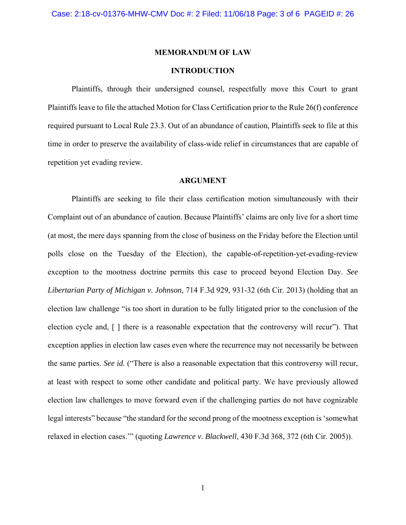## **MEMORANDUM OF LAW**

## **INTRODUCTION**

Plaintiffs, through their undersigned counsel, respectfully move this Court to grant Plaintiffs leave to file the attached Motion for Class Certification prior to the Rule 26(f) conference required pursuant to Local Rule 23.3. Out of an abundance of caution, Plaintiffs seek to file at this time in order to preserve the availability of class-wide relief in circumstances that are capable of repetition yet evading review.

### **ARGUMENT**

Plaintiffs are seeking to file their class certification motion simultaneously with their Complaint out of an abundance of caution. Because Plaintiffs' claims are only live for a short time (at most, the mere days spanning from the close of business on the Friday before the Election until polls close on the Tuesday of the Election), the capable-of-repetition-yet-evading-review exception to the mootness doctrine permits this case to proceed beyond Election Day. *See Libertarian Party of Michigan v. Johnson*, 714 F.3d 929, 931-32 (6th Cir. 2013) (holding that an election law challenge "is too short in duration to be fully litigated prior to the conclusion of the election cycle and, [ ] there is a reasonable expectation that the controversy will recur"). That exception applies in election law cases even where the recurrence may not necessarily be between the same parties. *See id.* ("There is also a reasonable expectation that this controversy will recur, at least with respect to some other candidate and political party. We have previously allowed election law challenges to move forward even if the challenging parties do not have cognizable legal interests" because "the standard for the second prong of the mootness exception is 'somewhat relaxed in election cases.'" (quoting *Lawrence v. Blackwell*, 430 F.3d 368, 372 (6th Cir. 2005)).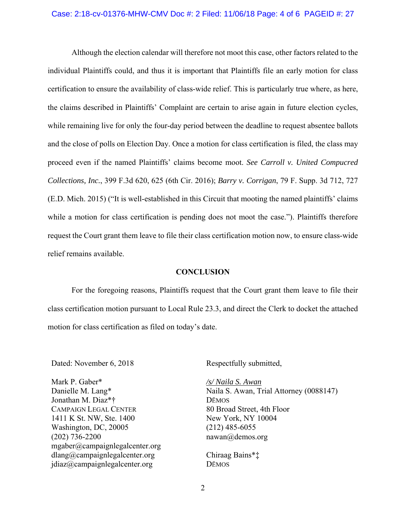#### Case: 2:18-cv-01376-MHW-CMV Doc #: 2 Filed: 11/06/18 Page: 4 of 6 PAGEID #: 27

Although the election calendar will therefore not moot this case, other factors related to the individual Plaintiffs could, and thus it is important that Plaintiffs file an early motion for class certification to ensure the availability of class-wide relief. This is particularly true where, as here, the claims described in Plaintiffs' Complaint are certain to arise again in future election cycles, while remaining live for only the four-day period between the deadline to request absentee ballots and the close of polls on Election Day. Once a motion for class certification is filed, the class may proceed even if the named Plaintiffs' claims become moot. *See Carroll v. United Compucred Collections, Inc.*, 399 F.3d 620, 625 (6th Cir. 2016); *Barry v. Corrigan*, 79 F. Supp. 3d 712, 727 (E.D. Mich. 2015) ("It is well-established in this Circuit that mooting the named plaintiffs' claims while a motion for class certification is pending does not moot the case."). Plaintiffs therefore request the Court grant them leave to file their class certification motion now, to ensure class-wide relief remains available.

#### **CONCLUSION**

 For the foregoing reasons, Plaintiffs request that the Court grant them leave to file their class certification motion pursuant to Local Rule 23.3, and direct the Clerk to docket the attached motion for class certification as filed on today's date.

Dated: November 6, 2018

Mark P. Gaber\* Danielle M. Lang\* Jonathan M. Diaz\*† CAMPAIGN LEGAL CENTER 1411 K St. NW, Ste. 1400 Washington, DC, 20005 (202) 736-2200 mgaber@campaignlegalcenter.org dlang@campaignlegalcenter.org jdiaz@campaignlegalcenter.org

Respectfully submitted,

*/s/ Naila S. Awan* Naila S. Awan, Trial Attorney (0088147) DĒMOS 80 Broad Street, 4th Floor New York, NY 10004 (212) 485-6055 nawan@demos.org

Chiraag Bains\*‡ DĒMOS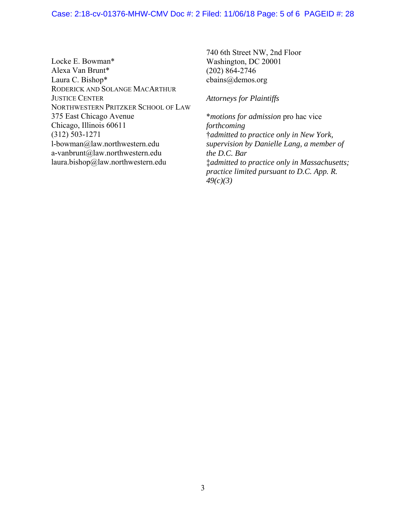## Case: 2:18-cv-01376-MHW-CMV Doc #: 2 Filed: 11/06/18 Page: 5 of 6 PAGEID #: 28

Locke E. Bowman\* Alexa Van Brunt\* Laura C. Bishop\* RODERICK AND SOLANGE MACARTHUR JUSTICE CENTER NORTHWESTERN PRITZKER SCHOOL OF LAW 375 East Chicago Avenue Chicago, Illinois 60611 (312) 503-1271 l-bowman@law.northwestern.edu a-vanbrunt@law.northwestern.edu laura.bishop@law.northwestern.edu

740 6th Street NW, 2nd Floor Washington, DC 20001 (202) 864-2746 cbains@demos.org

*Attorneys for Plaintiffs* 

\**motions for admission* pro hac vice *forthcoming*  †*admitted to practice only in New York, supervision by Danielle Lang, a member of the D.C. Bar*  ‡*admitted to practice only in Massachusetts; practice limited pursuant to D.C. App. R. 49(c)(3)*